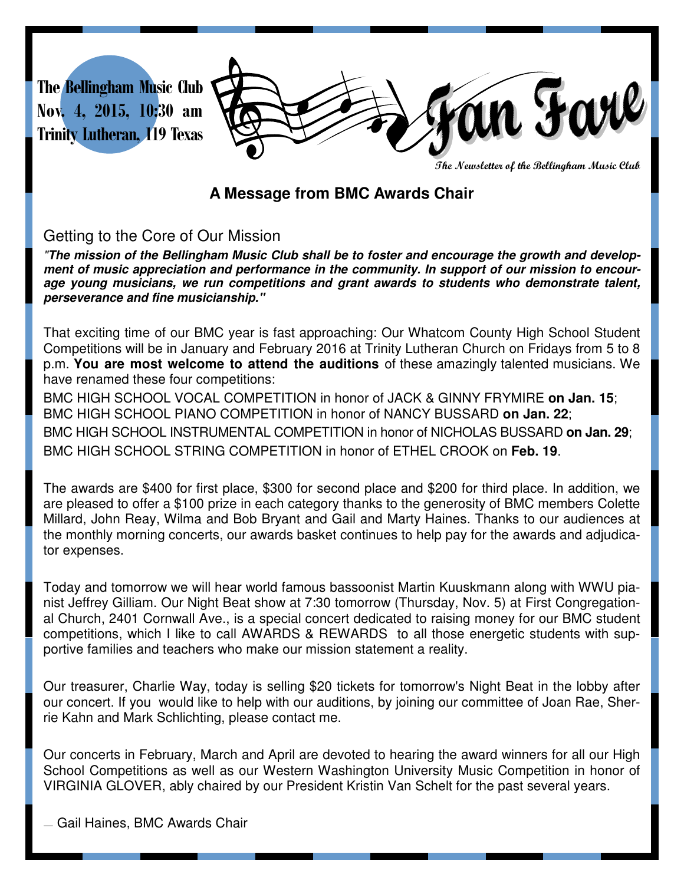

**The Newsletter of the Bellingham Music Club** 

## **A Message from BMC Awards Chair**

### Getting to the Core of Our Mission

"**The mission of the Bellingham Music Club shall be to foster and encourage the growth and development of music appreciation and performance in the community. In support of our mission to encourage young musicians, we run competitions and grant awards to students who demonstrate talent, perseverance and fine musicianship."**

That exciting time of our BMC year is fast approaching: Our Whatcom County High School Student Competitions will be in January and February 2016 at Trinity Lutheran Church on Fridays from 5 to 8 p.m. **You are most welcome to attend the auditions** of these amazingly talented musicians. We have renamed these four competitions:

BMC HIGH SCHOOL VOCAL COMPETITION in honor of JACK & GINNY FRYMIRE **on Jan. 15**; BMC HIGH SCHOOL PIANO COMPETITION in honor of NANCY BUSSARD **on Jan. 22**; BMC HIGH SCHOOL INSTRUMENTAL COMPETITION in honor of NICHOLAS BUSSARD **on Jan. 29**; BMC HIGH SCHOOL STRING COMPETITION in honor of ETHEL CROOK on **Feb. 19**.

The awards are \$400 for first place, \$300 for second place and \$200 for third place. In addition, we are pleased to offer a \$100 prize in each category thanks to the generosity of BMC members Colette Millard, John Reay, Wilma and Bob Bryant and Gail and Marty Haines. Thanks to our audiences at the monthly morning concerts, our awards basket continues to help pay for the awards and adjudicator expenses.

Today and tomorrow we will hear world famous bassoonist Martin Kuuskmann along with WWU pianist Jeffrey Gilliam. Our Night Beat show at 7:30 tomorrow (Thursday, Nov. 5) at First Congregational Church, 2401 Cornwall Ave., is a special concert dedicated to raising money for our BMC student competitions, which I like to call AWARDS & REWARDS to all those energetic students with supportive families and teachers who make our mission statement a reality.

Our treasurer, Charlie Way, today is selling \$20 tickets for tomorrow's Night Beat in the lobby after our concert. If you would like to help with our auditions, by joining our committee of Joan Rae, Sherrie Kahn and Mark Schlichting, please contact me.

Our concerts in February, March and April are devoted to hearing the award winners for all our High School Competitions as well as our Western Washington University Music Competition in honor of VIRGINIA GLOVER, ably chaired by our President Kristin Van Schelt for the past several years.

— Gail Haines, BMC Awards Chair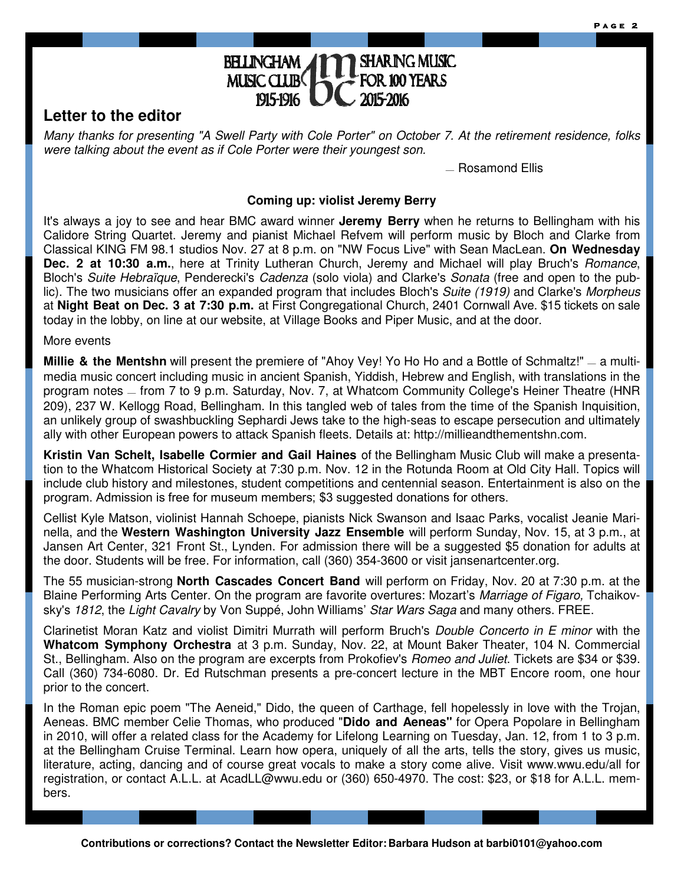#### **SHARING MUSIC BELINGHAM** MUSIC CLUB 2015-2016 1915-1916

## **Letter to the editor**

Many thanks for presenting "A Swell Party with Cole Porter" on October 7. At the retirement residence, folks were talking about the event as if Cole Porter were their youngest son.

— Rosamond Ellis

#### **Coming up: violist Jeremy Berry**

It's always a joy to see and hear BMC award winner **Jeremy Berry** when he returns to Bellingham with his Calidore String Quartet. Jeremy and pianist Michael Refvem will perform music by Bloch and Clarke from Classical KING FM 98.1 studios Nov. 27 at 8 p.m. on "NW Focus Live" with Sean MacLean. **On Wednesday Dec. 2 at 10:30 a.m.**, here at Trinity Lutheran Church, Jeremy and Michael will play Bruch's Romance, Bloch's Suite Hebraïque, Penderecki's Cadenza (solo viola) and Clarke's Sonata (free and open to the public). The two musicians offer an expanded program that includes Bloch's Suite (1919) and Clarke's Morpheus at **Night Beat on Dec. 3 at 7:30 p.m.** at First Congregational Church, 2401 Cornwall Ave. \$15 tickets on sale today in the lobby, on line at our website, at Village Books and Piper Music, and at the door.

More events

**Millie & the Mentshn** will present the premiere of "Ahoy Vey! Yo Ho Ho and a Bottle of Schmaltz!" — a multimedia music concert including music in ancient Spanish, Yiddish, Hebrew and English, with translations in the program notes — from 7 to 9 p.m. Saturday, Nov. 7, at Whatcom Community College's Heiner Theatre (HNR 209), 237 W. Kellogg Road, Bellingham. In this tangled web of tales from the time of the Spanish Inquisition, an unlikely group of swashbuckling Sephardi Jews take to the high-seas to escape persecution and ultimately ally with other European powers to attack Spanish fleets. Details at: http://millieandthementshn.com.

**Kristin Van Schelt, Isabelle Cormier and Gail Haines** of the Bellingham Music Club will make a presentation to the Whatcom Historical Society at 7:30 p.m. Nov. 12 in the Rotunda Room at Old City Hall. Topics will include club history and milestones, student competitions and centennial season. Entertainment is also on the program. Admission is free for museum members; \$3 suggested donations for others.

Cellist Kyle Matson, violinist Hannah Schoepe, pianists Nick Swanson and Isaac Parks, vocalist Jeanie Marinella, and the **Western Washington University Jazz Ensemble** will perform Sunday, Nov. 15, at 3 p.m., at Jansen Art Center, 321 Front St., Lynden. For admission there will be a suggested \$5 donation for adults at the door. Students will be free. For information, call (360) 354-3600 or visit jansenartcenter.org.

The 55 musician-strong **North Cascades Concert Band** will perform on Friday, Nov. 20 at 7:30 p.m. at the Blaine Performing Arts Center. On the program are favorite overtures: Mozart's Marriage of Figaro, Tchaikovsky's 1812, the Light Cavalry by Von Suppé, John Williams' Star Wars Saga and many others. FREE.

Clarinetist Moran Katz and violist Dimitri Murrath will perform Bruch's *Double Concerto in E minor* with the **Whatcom Symphony Orchestra** at 3 p.m. Sunday, Nov. 22, at Mount Baker Theater, 104 N. Commercial St., Bellingham. Also on the program are excerpts from Prokofiev's *Romeo and Juliet*. Tickets are \$34 or \$39. Call (360) 734-6080. Dr. Ed Rutschman presents a pre-concert lecture in the MBT Encore room, one hour prior to the concert.

In the Roman epic poem "The Aeneid," Dido, the queen of Carthage, fell hopelessly in love with the Trojan, Aeneas. BMC member Celie Thomas, who produced "**Dido and Aeneas"** for Opera Popolare in Bellingham in 2010, will offer a related class for the Academy for Lifelong Learning on Tuesday, Jan. 12, from 1 to 3 p.m. at the Bellingham Cruise Terminal. Learn how opera, uniquely of all the arts, tells the story, gives us music, literature, acting, dancing and of course great vocals to make a story come alive. Visit www.wwu.edu/all for registration, or contact A.L.L. at AcadLL@wwu.edu or (360) 650-4970. The cost: \$23, or \$18 for A.L.L. members.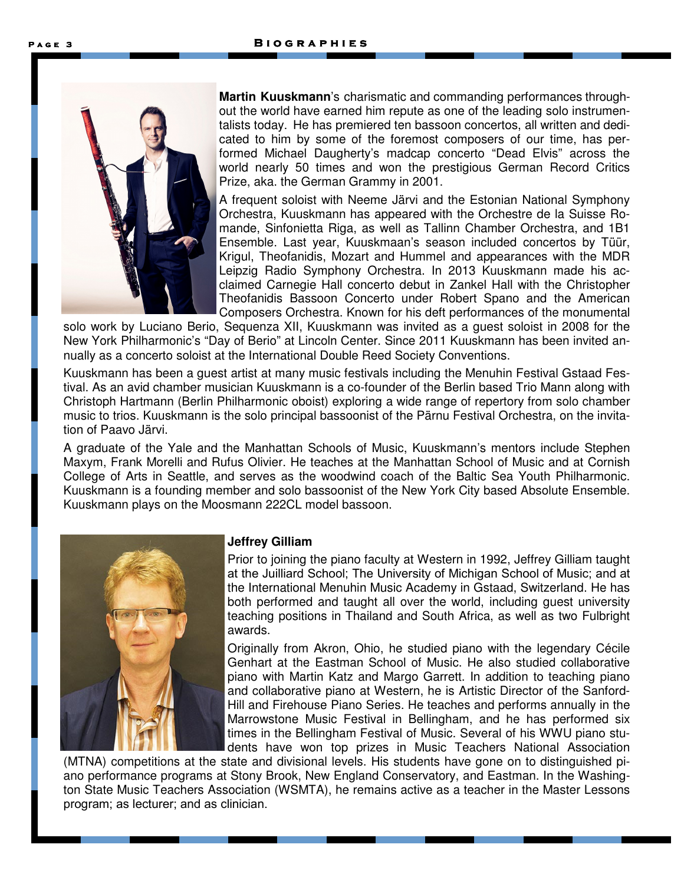

**Martin Kuuskmann**'s charismatic and commanding performances throughout the world have earned him repute as one of the leading solo instrumentalists today. He has premiered ten bassoon concertos, all written and dedicated to him by some of the foremost composers of our time, has performed Michael Daugherty's madcap concerto "Dead Elvis" across the world nearly 50 times and won the prestigious German Record Critics Prize, aka. the German Grammy in 2001.

A frequent soloist with Neeme Järvi and the Estonian National Symphony Orchestra, Kuuskmann has appeared with the Orchestre de la Suisse Romande, Sinfonietta Riga, as well as Tallinn Chamber Orchestra, and 1B1 Ensemble. Last year, Kuuskmaan's season included concertos by Tüür, Krigul, Theofanidis, Mozart and Hummel and appearances with the MDR Leipzig Radio Symphony Orchestra. In 2013 Kuuskmann made his acclaimed Carnegie Hall concerto debut in Zankel Hall with the Christopher Theofanidis Bassoon Concerto under Robert Spano and the American Composers Orchestra. Known for his deft performances of the monumental

solo work by Luciano Berio, Sequenza XII, Kuuskmann was invited as a guest soloist in 2008 for the New York Philharmonic's "Day of Berio" at Lincoln Center. Since 2011 Kuuskmann has been invited annually as a concerto soloist at the International Double Reed Society Conventions.

Kuuskmann has been a guest artist at many music festivals including the Menuhin Festival Gstaad Festival. As an avid chamber musician Kuuskmann is a co-founder of the Berlin based Trio Mann along with Christoph Hartmann (Berlin Philharmonic oboist) exploring a wide range of repertory from solo chamber music to trios. Kuuskmann is the solo principal bassoonist of the Pärnu Festival Orchestra, on the invitation of Paavo Järvi.

A graduate of the Yale and the Manhattan Schools of Music, Kuuskmann's mentors include Stephen Maxym, Frank Morelli and Rufus Olivier. He teaches at the Manhattan School of Music and at Cornish College of Arts in Seattle, and serves as the woodwind coach of the Baltic Sea Youth Philharmonic. Kuuskmann is a founding member and solo bassoonist of the New York City based Absolute Ensemble. Kuuskmann plays on the Moosmann 222CL model bassoon.



#### **Jeffrey Gilliam**

Prior to joining the piano faculty at Western in 1992, Jeffrey Gilliam taught at the Juilliard School; The University of Michigan School of Music; and at the International Menuhin Music Academy in Gstaad, Switzerland. He has both performed and taught all over the world, including guest university teaching positions in Thailand and South Africa, as well as two Fulbright awards.

Originally from Akron, Ohio, he studied piano with the legendary Cécile Genhart at the Eastman School of Music. He also studied collaborative piano with Martin Katz and Margo Garrett. In addition to teaching piano and collaborative piano at Western, he is Artistic Director of the Sanford-Hill and Firehouse Piano Series. He teaches and performs annually in the Marrowstone Music Festival in Bellingham, and he has performed six times in the Bellingham Festival of Music. Several of his WWU piano students have won top prizes in Music Teachers National Association

(MTNA) competitions at the state and divisional levels. His students have gone on to distinguished piano performance programs at Stony Brook, New England Conservatory, and Eastman. In the Washington State Music Teachers Association (WSMTA), he remains active as a teacher in the Master Lessons program; as lecturer; and as clinician.